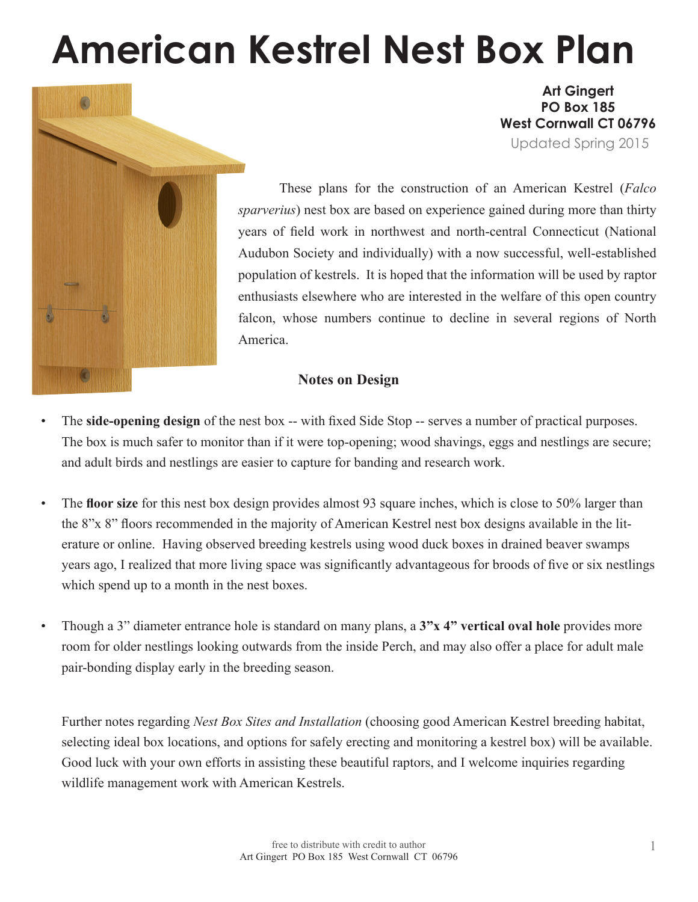# **American Kestrel Nest Box Plan**



**Art Gingert PO Box 185 West Cornwall CT 06796** Updated Spring 2015

These plans for the construction of an American Kestrel (*Falco sparverius*) nest box are based on experience gained during more than thirty years of field work in northwest and north-central Connecticut (National Audubon Society and individually) with a now successful, well-established population of kestrels. It is hoped that the information will be used by raptor enthusiasts elsewhere who are interested in the welfare of this open country falcon, whose numbers continue to decline in several regions of North America.

#### **Notes on Design**

- The **side-opening design** of the nest box -- with fixed Side Stop -- serves a number of practical purposes. The box is much safer to monitor than if it were top-opening; wood shavings, eggs and nestlings are secure; and adult birds and nestlings are easier to capture for banding and research work.
- The **floor size** for this nest box design provides almost 93 square inches, which is close to 50% larger than the 8"x 8" floors recommended in the majority of American Kestrel nest box designs available in the literature or online. Having observed breeding kestrels using wood duck boxes in drained beaver swamps years ago, I realized that more living space was significantly advantageous for broods of five or six nestlings which spend up to a month in the nest boxes.
- Though a 3" diameter entrance hole is standard on many plans, a **3"x 4" vertical oval hole** provides more room for older nestlings looking outwards from the inside Perch, and may also offer a place for adult male pair-bonding display early in the breeding season.

Further notes regarding *Nest Box Sites and Installation* (choosing good American Kestrel breeding habitat, selecting ideal box locations, and options for safely erecting and monitoring a kestrel box) will be available. Good luck with your own efforts in assisting these beautiful raptors, and I welcome inquiries regarding wildlife management work with American Kestrels.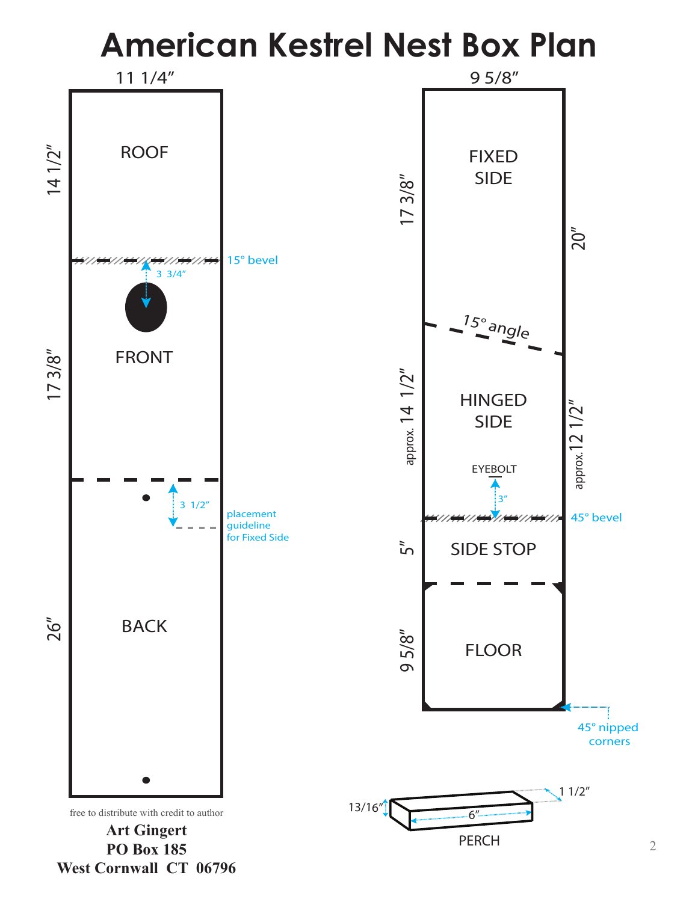## **American Kestrel Nest Box Plan**

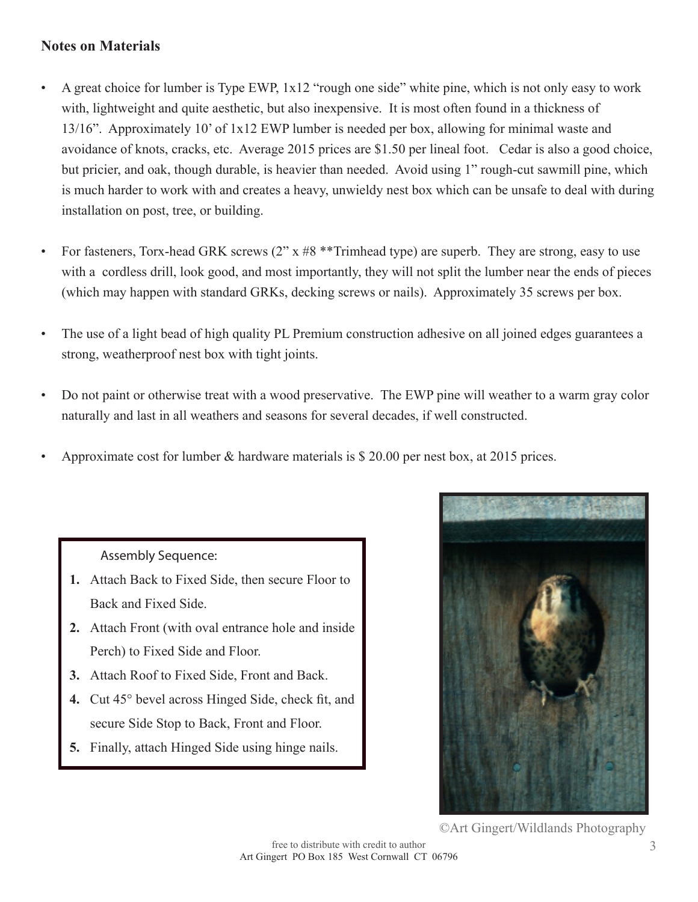### **Notes on Materials**

- A great choice for lumber is Type EWP, 1x12 "rough one side" white pine, which is not only easy to work with, lightweight and quite aesthetic, but also inexpensive. It is most often found in a thickness of 13/16". Approximately 10' of 1x12 EWP lumber is needed per box, allowing for minimal waste and avoidance of knots, cracks, etc. Average 2015 prices are \$1.50 per lineal foot. Cedar is also a good choice, but pricier, and oak, though durable, is heavier than needed. Avoid using 1" rough-cut sawmill pine, which is much harder to work with and creates a heavy, unwieldy nest box which can be unsafe to deal with during installation on post, tree, or building.
- For fasteners, Torx-head GRK screws  $(2^{\prime\prime} \times 48^{*} \times T$ rimhead type) are superb. They are strong, easy to use with a cordless drill, look good, and most importantly, they will not split the lumber near the ends of pieces (which may happen with standard GRKs, decking screws or nails). Approximately 35 screws per box.
- The use of a light bead of high quality PL Premium construction adhesive on all joined edges guarantees a strong, weatherproof nest box with tight joints.
- Do not paint or otherwise treat with a wood preservative. The EWP pine will weather to a warm gray color naturally and last in all weathers and seasons for several decades, if well constructed.
- Approximate cost for lumber & hardware materials is \$ 20.00 per nest box, at 2015 prices.

#### Assembly Sequence:

- **1.** Attach Back to Fixed Side, then secure Floor to Back and Fixed Side.
- **2.** Attach Front (with oval entrance hole and inside Perch) to Fixed Side and Floor.
- **3.** Attach Roof to Fixed Side, Front and Back.
- **4.** Cut 45° bevel across Hinged Side, check fit, and secure Side Stop to Back, Front and Floor.
- **5.** Finally, attach Hinged Side using hinge nails.



©Art Gingert/Wildlands Photography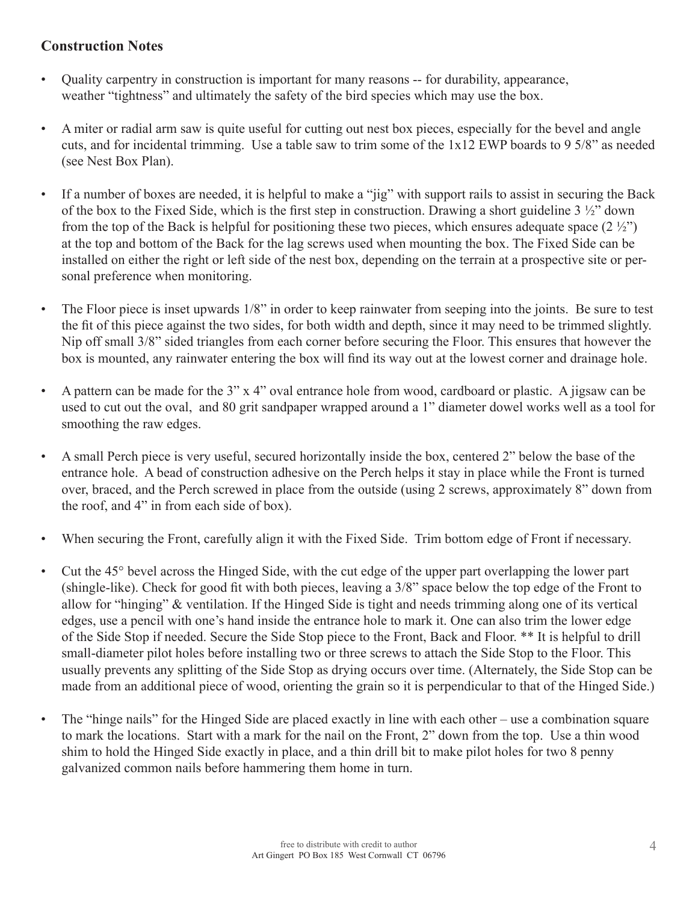### **Construction Notes**

- Quality carpentry in construction is important for many reasons -- for durability, appearance, weather "tightness" and ultimately the safety of the bird species which may use the box.
- A miter or radial arm saw is quite useful for cutting out nest box pieces, especially for the bevel and angle cuts, and for incidental trimming. Use a table saw to trim some of the 1x12 EWP boards to 9 5/8" as needed (see Nest Box Plan).
- If a number of boxes are needed, it is helpful to make a "jig" with support rails to assist in securing the Back of the box to the Fixed Side, which is the first step in construction. Drawing a short guideline 3 ½" down from the top of the Back is helpful for positioning these two pieces, which ensures adequate space  $(2 \frac{1}{2})$ at the top and bottom of the Back for the lag screws used when mounting the box. The Fixed Side can be installed on either the right or left side of the nest box, depending on the terrain at a prospective site or personal preference when monitoring.
- The Floor piece is inset upwards 1/8" in order to keep rainwater from seeping into the joints. Be sure to test the fit of this piece against the two sides, for both width and depth, since it may need to be trimmed slightly. Nip off small 3/8" sided triangles from each corner before securing the Floor. This ensures that however the box is mounted, any rainwater entering the box will find its way out at the lowest corner and drainage hole.
- A pattern can be made for the 3" x 4" oval entrance hole from wood, cardboard or plastic. A jigsaw can be used to cut out the oval, and 80 grit sandpaper wrapped around a 1" diameter dowel works well as a tool for smoothing the raw edges.
- A small Perch piece is very useful, secured horizontally inside the box, centered 2" below the base of the entrance hole. A bead of construction adhesive on the Perch helps it stay in place while the Front is turned over, braced, and the Perch screwed in place from the outside (using 2 screws, approximately 8" down from the roof, and 4" in from each side of box).
- When securing the Front, carefully align it with the Fixed Side. Trim bottom edge of Front if necessary.
- Cut the 45° bevel across the Hinged Side, with the cut edge of the upper part overlapping the lower part (shingle-like). Check for good fit with both pieces, leaving a 3/8" space below the top edge of the Front to allow for "hinging" & ventilation. If the Hinged Side is tight and needs trimming along one of its vertical edges, use a pencil with one's hand inside the entrance hole to mark it. One can also trim the lower edge of the Side Stop if needed. Secure the Side Stop piece to the Front, Back and Floor. \*\* It is helpful to drill small-diameter pilot holes before installing two or three screws to attach the Side Stop to the Floor. This usually prevents any splitting of the Side Stop as drying occurs over time. (Alternately, the Side Stop can be made from an additional piece of wood, orienting the grain so it is perpendicular to that of the Hinged Side.)
- The "hinge nails" for the Hinged Side are placed exactly in line with each other use a combination square to mark the locations. Start with a mark for the nail on the Front, 2" down from the top. Use a thin wood shim to hold the Hinged Side exactly in place, and a thin drill bit to make pilot holes for two 8 penny galvanized common nails before hammering them home in turn.